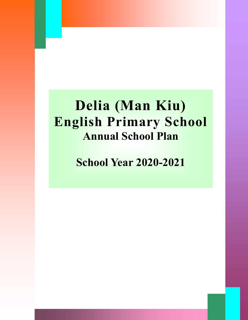# **Delia (Man Kiu) English Primary School Annual School Plan**

**School Year 2020-2021**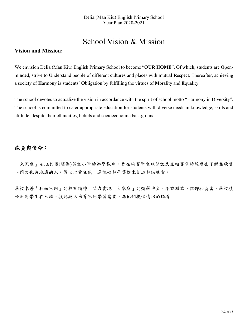### School Vision & Mission

### **Vision and Mission:**

We envision Delia (Man Kiu) English Primary School to become "**OUR HOME**". Of which, students are **O**penminded, strive to **U**nderstand people of different cultures and places with mutual **R**espect. Thereafter, achieving a society of **H**armony is students' **O**bligation by fulfilling the virtues of **M**orality and **E**quality.

The school devotes to actualize the vision in accordance with the spirit of school motto "Harmony in Diversity". The school is committed to cater appropriate education for students with diverse needs in knowledge, skills and attitude, despite their ethnicities, beliefs and socioeconomic background.

### 抱負與使命:

「大家庭」是地利亞(閩僑)英文小學的辦學抱負,旨在培育學生以開放及互相尊重的態度去了解並欣賞 不同文化與地域的人。從而以責任感、道德心和平等觀來創造和諧社會。

學校本著「和而不同」的校訓精神,致力實現「大家庭」的辦學抱負。不論種族、信仰和貧富,學校積 極針對學生在知識、技能與人格等不同學習需要、為他們提供適切的培養。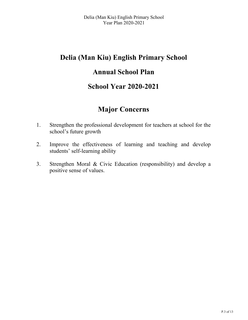## **Delia (Man Kiu) English Primary School**

### **Annual School Plan**

### **School Year 2020-2021**

### **Major Concerns**

- 1. Strengthen the professional development for teachers at school for the school's future growth
- 2. Improve the effectiveness of learning and teaching and develop students' self-learning ability
- 3. Strengthen Moral & Civic Education (responsibility) and develop a positive sense of values.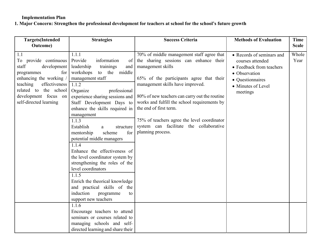#### **Implementation Plan**

**1. Major Concern: Strengthen the professional development for teachers at school for the school's future growth**

| <b>Targets</b> (Intended                                                                                                                                                                                                         | <b>Strategies</b>                                                                                                                                                                                                                                                                                                                                                                                                                                                                                                                | <b>Success Criteria</b>                                                                                                                                                                                                                                                                                                                                                                                                            | <b>Methods of Evaluation</b>                                                                                                                     | <b>Time</b>                   |
|----------------------------------------------------------------------------------------------------------------------------------------------------------------------------------------------------------------------------------|----------------------------------------------------------------------------------------------------------------------------------------------------------------------------------------------------------------------------------------------------------------------------------------------------------------------------------------------------------------------------------------------------------------------------------------------------------------------------------------------------------------------------------|------------------------------------------------------------------------------------------------------------------------------------------------------------------------------------------------------------------------------------------------------------------------------------------------------------------------------------------------------------------------------------------------------------------------------------|--------------------------------------------------------------------------------------------------------------------------------------------------|-------------------------------|
| <b>Outcome</b> )<br>1.1<br>To provide continuous<br>staff<br>development<br>for<br>programmes<br>enhancing the working /<br>effectiveness<br>teaching<br>related to the school<br>development focus on<br>self-directed learning | 1.1.1<br>Provide<br>information<br>of<br>leadership<br>trainings<br>and<br>workshops<br>to the middle<br>management staff<br>1.1.2<br>Organize<br>professional<br>experience sharing sessions and<br>Staff Development Days to<br>enhance the skills required in<br>management<br>1.1.3<br>Establish<br>structure<br>a.<br>scheme<br>for<br>mentorship<br>potential middle managers<br>1.1.4<br>Enhance the effectiveness of<br>the level coordinator system by<br>strengthening the roles of the<br>level coordinators<br>1.1.5 | 70% of middle management staff agree that<br>the sharing sessions can enhance their<br>management skills<br>65% of the participants agree that their<br>management skills have improved.<br>80% of new teachers can carry out the routine<br>works and fulfill the school requirements by<br>the end of first term.<br>75% of teachers agree the level coordinator<br>system can facilitate the collaborative<br>planning process. | • Records of seminars and<br>courses attended<br>• Feedback from teachers<br>• Observation<br>• Questionnaires<br>• Minutes of Level<br>meetings | <b>Scale</b><br>Whole<br>Year |
|                                                                                                                                                                                                                                  | Enrich the theorical knowledge<br>and practical skills of the<br>induction<br>programme<br>to<br>support new teachers                                                                                                                                                                                                                                                                                                                                                                                                            |                                                                                                                                                                                                                                                                                                                                                                                                                                    |                                                                                                                                                  |                               |
|                                                                                                                                                                                                                                  | 1.1.6<br>Encourage teachers to attend<br>seminars or courses related to<br>managing schools and self-<br>directed learning and share their                                                                                                                                                                                                                                                                                                                                                                                       |                                                                                                                                                                                                                                                                                                                                                                                                                                    |                                                                                                                                                  |                               |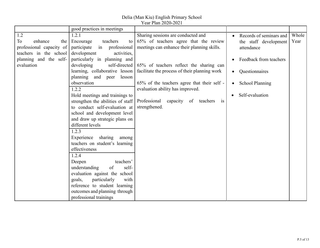### Delia (Man Kiu) English Primary School

|  | Year Plan 2020-2021 |
|--|---------------------|
|--|---------------------|

|                          | good practices in meetings        |                                                       |                                     |       |
|--------------------------|-----------------------------------|-------------------------------------------------------|-------------------------------------|-------|
| 1.2                      | 1.2.1                             | Sharing sessions are conducted and                    | Records of seminars and             | Whole |
| To<br>enhance<br>the     | Encourage<br>teachers<br>to       | 65% of teachers agree that the review                 | the staff development               | Year  |
| professional capacity of | participate<br>in<br>professional | meetings can enhance their planning skills.           | attendance                          |       |
| teachers in the school   | development<br>activities,        |                                                       |                                     |       |
| planning and the self-   | particularly in planning and      |                                                       | Feedback from teachers              |       |
| evaluation               | developing                        | self-directed 65% of teachers reflect the sharing can |                                     |       |
|                          | learning, collaborative lesson    | facilitate the process of their planning work         | Questionnaires                      |       |
|                          | planning and peer<br>lesson       |                                                       |                                     |       |
|                          | observation                       | 65% of the teachers agree that their self -           | <b>School Planning</b><br>$\bullet$ |       |
|                          | 1.2.2                             | evaluation ability has improved.                      |                                     |       |
|                          | Hold meetings and trainings to    |                                                       | Self-evaluation                     |       |
|                          | strengthen the abilities of staff | Professional<br>capacity of teachers<br>is            |                                     |       |
|                          | to conduct self-evaluation at     | strengthened.                                         |                                     |       |
|                          | school and development level      |                                                       |                                     |       |
|                          | and draw up strategic plans on    |                                                       |                                     |       |
|                          | different levels                  |                                                       |                                     |       |
|                          | 1.2.3                             |                                                       |                                     |       |
|                          | Experience<br>sharing<br>among    |                                                       |                                     |       |
|                          | teachers on student's learning    |                                                       |                                     |       |
|                          | effectiveness                     |                                                       |                                     |       |
|                          | 1.2.4                             |                                                       |                                     |       |
|                          | teachers'<br>Deepen               |                                                       |                                     |       |
|                          | understanding<br>self-<br>of      |                                                       |                                     |       |
|                          | evaluation against the school     |                                                       |                                     |       |
|                          | particularly<br>goals,<br>with    |                                                       |                                     |       |
|                          | reference to student learning     |                                                       |                                     |       |
|                          | outcomes and planning through     |                                                       |                                     |       |
|                          | professional trainings            |                                                       |                                     |       |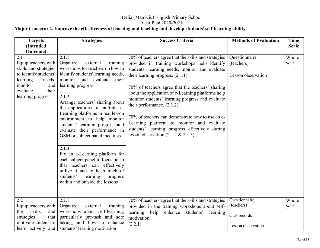### **Major Concern: 2. Improve the effectiveness of learning and teaching and develop students' self-learning ability**

| <b>Targets</b><br>(Intended                                                                                                                                                | <b>Strategies</b>                                                                                                                                                                                                                                                                                                                                                                                                                       | <b>Success Criteria</b>                                                                                                                                                                                                                                                                                                                                                                                                                                                                                                                                                                | <b>Methods of Evaluation</b>                                     | <b>Time</b><br><b>Scale</b> |
|----------------------------------------------------------------------------------------------------------------------------------------------------------------------------|-----------------------------------------------------------------------------------------------------------------------------------------------------------------------------------------------------------------------------------------------------------------------------------------------------------------------------------------------------------------------------------------------------------------------------------------|----------------------------------------------------------------------------------------------------------------------------------------------------------------------------------------------------------------------------------------------------------------------------------------------------------------------------------------------------------------------------------------------------------------------------------------------------------------------------------------------------------------------------------------------------------------------------------------|------------------------------------------------------------------|-----------------------------|
| Outcome)<br>2.1<br>Equip teachers with<br>skills and strategies<br>to identify students'<br>learning<br>needs,<br>monitor<br>and<br>their<br>evaluate<br>learning progress | 2.1.1<br>Organize<br>external<br>training<br>workshops for teachers on how to<br>identify students' learning needs,<br>monitor and evaluate their<br>learning progress<br>2.1.2<br>Arrange teachers' sharing about<br>the applications of multiple e-<br>Learning platforms in real lesson<br>environment to help monitor<br>students' learning progress and<br>evaluate their performance in<br>GSM or subject panel meetings<br>2.1.3 | 70% of teachers agree that the skills and strategies<br>provided in training workshops help identify<br>students' learning needs, monitor and evaluate<br>their learning progress. $(2.1.1)$<br>70% of teachers agree that the teachers' sharing<br>about the application of e-Learning platforms help<br>monitor students' learning progress and evaluate<br>their performance. $(2.1.2)$<br>70% of teachers can demonstrate how to use an e-<br>Learning platform to monitor and evaluate<br>students' learning progress effectively during<br>lesson observation $(2.1.2 \& 2.1.3)$ | Questionnaire<br>(teachers)<br>Lesson observation                | Whole<br>year               |
|                                                                                                                                                                            | Fix an e-Learning platform for<br>each subject panel to focus on so<br>that teachers can effectively<br>utilize it and to keep track of<br>students'<br>learning<br>progress<br>within and outside the lessons                                                                                                                                                                                                                          |                                                                                                                                                                                                                                                                                                                                                                                                                                                                                                                                                                                        |                                                                  |                             |
| $2.\overline{2}$<br>Equip teachers with<br>the<br>skills<br>and<br>that<br>strategies<br>motivate students to<br>learn actively and                                        | 2.2.1<br>Organize<br>training<br>external<br>workshops about self-learning,<br>particularly pre-task and note<br>taking, and how to enhance<br>students' learning motivation                                                                                                                                                                                                                                                            | 70% of teachers agree that the skills and strategies<br>provided in the training workshops about self-<br>learning help<br>enhance<br>students'<br>learning<br>motivation.<br>(2.2.1)                                                                                                                                                                                                                                                                                                                                                                                                  | Questionnaire<br>(teachers)<br>CLP records<br>Lesson observation | Whole<br>year               |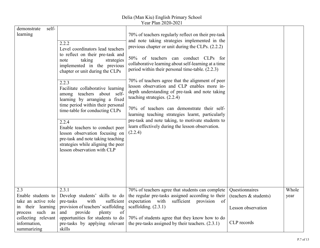| self-<br>demonstrate<br>learning                                                                                | 2.2.2<br>Level coordinators lead teachers<br>to reflect on their pre-task and<br>taking<br>strategies<br>note<br>implemented in the previous<br>chapter or unit during the CLPs<br>2.2.3<br>Facilitate collaborative learning<br>among teachers about self-<br>learning by arranging a fixed<br>time period within their personal<br>time-table for conducting CLPs<br>2.2.4<br>Enable teachers to conduct peer<br>lesson observation focusing on<br>pre-task and note taking teaching<br>strategies while aligning the peer<br>lesson observation with CLP | 70% of teachers regularly reflect on their pre-task<br>and note taking strategies implemented in the<br>previous chapter or unit during the CLPs. (2.2.2)<br>50% of teachers can conduct CLPs for<br>collaborative learning about self-learning at a time<br>period within their personal time-table. (2.2.3)<br>70% of teachers agree that the alignment of peer<br>lesson observation and CLP enables more in-<br>depth understanding of pre-task and note taking<br>teaching strategies. (2.2.4)<br>70% of teachers can demonstrate their self-<br>learning teaching strategies learnt, particularly<br>pre-task and note taking, to motivate students to<br>learn effectively during the lesson observation.<br>(2.2.4) |                                                               |               |
|-----------------------------------------------------------------------------------------------------------------|-------------------------------------------------------------------------------------------------------------------------------------------------------------------------------------------------------------------------------------------------------------------------------------------------------------------------------------------------------------------------------------------------------------------------------------------------------------------------------------------------------------------------------------------------------------|-----------------------------------------------------------------------------------------------------------------------------------------------------------------------------------------------------------------------------------------------------------------------------------------------------------------------------------------------------------------------------------------------------------------------------------------------------------------------------------------------------------------------------------------------------------------------------------------------------------------------------------------------------------------------------------------------------------------------------|---------------------------------------------------------------|---------------|
| 2.3<br>Enable students to<br>take an active role<br>in their learning<br>process such as<br>collecting relevant | 2.3.1<br>Develop students' skills to do<br>with<br>pre-tasks<br>sufficient<br>provision of teachers' scaffolding<br>of<br>provide<br>plenty<br>and<br>opportunities for students to do                                                                                                                                                                                                                                                                                                                                                                      | 70% of teachers agree that students can complete<br>the regular pre-tasks assigned according to their<br>expectation with<br>sufficient provision of<br>scaffolding. $(2.3.1)$<br>70% of students agree that they know how to do                                                                                                                                                                                                                                                                                                                                                                                                                                                                                            | Questionnaires<br>(teachers & students)<br>Lesson observation | Whole<br>year |
| information,<br>summarizing                                                                                     | pre-tasks by applying relevant<br>skills                                                                                                                                                                                                                                                                                                                                                                                                                                                                                                                    | the pre-tasks assigned by their teachers. $(2.3.1)$                                                                                                                                                                                                                                                                                                                                                                                                                                                                                                                                                                                                                                                                         | CLP records                                                   |               |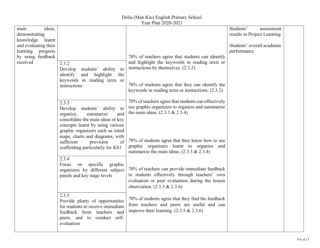| ideas,<br>main                              |                                                                   |                                                     | Students'<br>assessment     |  |
|---------------------------------------------|-------------------------------------------------------------------|-----------------------------------------------------|-----------------------------|--|
| demonstrating                               |                                                                   |                                                     | results in Project Learning |  |
| knowledge<br>learnt<br>and evaluating their |                                                                   |                                                     | Students' overall academic  |  |
| learning progress                           |                                                                   |                                                     | performance                 |  |
| by using feedback                           |                                                                   | 70% of teachers agree that students can identify    |                             |  |
| received                                    | 2.3.2                                                             | and highlight the keywords in reading texts or      |                             |  |
|                                             | students' ability<br>Develop<br>to                                | instructions by themselves. $(2.3.2)$               |                             |  |
|                                             | highlight<br>identify<br>and<br>the                               |                                                     |                             |  |
|                                             | keywords in reading texts or                                      |                                                     |                             |  |
|                                             | instructions                                                      | 70% of students agree that they can identify the    |                             |  |
|                                             |                                                                   | keywords in reading texts or instructions. (2.3.2)  |                             |  |
|                                             | 2.3.3                                                             | 70% of teachers agree that students can effectively |                             |  |
|                                             | students'<br>Develop<br>ability<br>to                             | use graphic organizers to organize and summarize    |                             |  |
|                                             | organize,<br>and<br>summarize                                     | the main ideas. $(2.3.3 \& 2.3.4)$                  |                             |  |
|                                             | consolidate the main ideas or key                                 |                                                     |                             |  |
|                                             | concepts learnt by using various                                  |                                                     |                             |  |
|                                             | graphic organizers such as mind                                   |                                                     |                             |  |
|                                             | maps, charts and diagrams, with                                   | 70% of students agree that they know how to use     |                             |  |
|                                             | sufficient<br>provision<br>of<br>scaffolding particularly for KS1 | graphic organizers learnt to organize and           |                             |  |
|                                             |                                                                   | summarize the main ideas. $(2.3.3 \& 2.3.4)$        |                             |  |
|                                             | 2.3.4                                                             |                                                     |                             |  |
|                                             | Focus<br>on specific<br>graphic                                   |                                                     |                             |  |
|                                             | organizers by different subject                                   | 70% of teachers can provide immediate feedback      |                             |  |
|                                             | panels and key stage levels                                       | to students effectively through teachers' own       |                             |  |
|                                             |                                                                   | evaluation or peer evaluation during the lesson     |                             |  |
|                                             |                                                                   | observation. $(2.3.5 \& 2.3.6)$                     |                             |  |
|                                             | 2.3.5                                                             | 70% of students agree that they find the feedback   |                             |  |
|                                             | Provide plenty of opportunities                                   | from teachers and peers are useful and can          |                             |  |
|                                             | for students to receive immediate                                 | improve their learning. $(2.3.5 \& 2.3.6)$          |                             |  |
|                                             | feedback from teachers and<br>peers, and to conduct self-         |                                                     |                             |  |
|                                             | evaluation                                                        |                                                     |                             |  |
|                                             |                                                                   |                                                     |                             |  |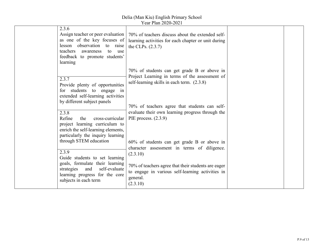| 2.3.6<br>Assign teacher or peer evaluation<br>as one of the key focuses of<br>lesson observation to raise<br>teachers<br>awareness<br>to use<br>feedback to promote students'<br>learning | 70% of teachers discuss about the extended self-<br>learning activities for each chapter or unit during<br>the CLPs. $(2.3.7)$                                                               |  |
|-------------------------------------------------------------------------------------------------------------------------------------------------------------------------------------------|----------------------------------------------------------------------------------------------------------------------------------------------------------------------------------------------|--|
| 2.3.7<br>Provide plenty of opportunities<br>for students to engage in<br>extended self-learning activities<br>by different subject panels                                                 | 70% of students can get grade B or above in<br>Project Learning in terms of the assessment of<br>self-learning skills in each term. (2.3.8)<br>70% of teachers agree that students can self- |  |
| 2.3.8<br>Refine<br>the<br>cross-curricular<br>project learning curriculum to<br>enrich the self-learning elements,<br>particularly the inquiry learning<br>through STEM education         | evaluate their own learning progress through the<br>PIE process. $(2.3.9)$<br>60% of students can get grade B or above in                                                                    |  |
| 2.3.9<br>Guide students to set learning<br>goals, formulate their learning<br>strategies<br>and<br>self-evaluate<br>learning progress for the core<br>subjects in each term               | character assessment in terms of diligence.<br>(2.3.10)<br>70% of teachers agree that their students are eager<br>to engage in various self-learning activities in<br>general.<br>(2.3.10)   |  |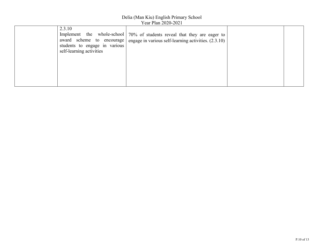| 2.3.10<br>students to engage in various<br>self-learning activities | Implement the whole-school   70% of students reveal that they are eager to<br>award scheme to encourage   engage in various self-learning activities. $(2.3.10)$ |  |
|---------------------------------------------------------------------|------------------------------------------------------------------------------------------------------------------------------------------------------------------|--|
|                                                                     |                                                                                                                                                                  |  |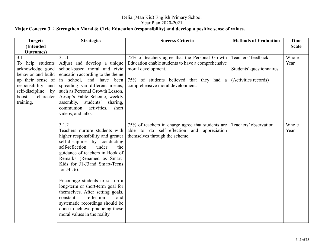#### Delia (Man Kiu) English Primary School Year Plan 2020-2021 **Major Concern 3** :**Strengthen Moral & Civic Education (responsibility) and develop a positive sense of values.**

| 75% of teachers agree that the Personal Growth<br>Education enable students to have a comprehensive<br>Adjust and develop a unique<br>school-based moral and civic<br>moral development.                                                                                                                                                                                                                                                                                                                | Teachers' feedback                               | Whole         |
|---------------------------------------------------------------------------------------------------------------------------------------------------------------------------------------------------------------------------------------------------------------------------------------------------------------------------------------------------------------------------------------------------------------------------------------------------------------------------------------------------------|--------------------------------------------------|---------------|
| education according to the theme<br>in school, and have been<br>75% of students believed that they had a<br>spreading via different means,<br>comprehensive moral development.<br>such as Personal Growth Lesson,<br>Aesop's Fable Scheme, weekly<br>sharing,<br>communion activities,<br>short                                                                                                                                                                                                         | Students' questionnaires<br>(Activities records) | Year          |
| 75% of teachers in charge agree that students are<br>Teachers nurture students with<br>able to do self-reflection and appreciation<br>higher responsibility and greater<br>themselves through the scheme.<br>self-discipline by conducting<br>the<br>guidance of teachers in Book of<br>Remarks (Renamed as Smart-<br>Kids for J1-J3and Smart-Teens<br>Encourage students to set up a<br>long-term or short-term goal for<br>themselves. After setting goals,<br>and<br>systematic recordings should be | Teachers' observation                            | Whole<br>Year |
| moral values in the reality.                                                                                                                                                                                                                                                                                                                                                                                                                                                                            | done to achieve practicing those                 |               |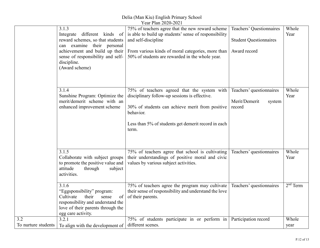Delia (Man Kiu) English Primary School

|                                         |                                                                                                                                                                                                                 | Year Plan 2020-2021                                                                                                                                                                                                                      |                                                                           |               |
|-----------------------------------------|-----------------------------------------------------------------------------------------------------------------------------------------------------------------------------------------------------------------|------------------------------------------------------------------------------------------------------------------------------------------------------------------------------------------------------------------------------------------|---------------------------------------------------------------------------|---------------|
|                                         | 3.1.3<br>Integrate different kinds of<br>reward schemes, so that students<br>can examine their personal<br>achievement and build up their<br>sense of responsibility and self-<br>discipline.<br>(Award scheme) | 75% of teachers agree that the new reward scheme<br>is able to build up students' sense of responsibility<br>and self-discipline<br>From various kinds of moral categories, more than<br>50% of students are rewarded in the whole year. | Teachers' Questionnaires<br><b>Student Questionnaires</b><br>Award record | Whole<br>Year |
|                                         | 3.1.4<br>Sunshine Program: Optimize the<br>merit/demerit scheme with an<br>enhanced improvement scheme                                                                                                          | 75% of teachers agreed that the system with<br>disciplinary follow-up sessions is effective.<br>30% of students can achieve merit from positive<br>behavior.<br>Less than 5% of students get demerit record in each<br>term.             | Teachers' questionnaires<br>Merit/Demerit<br>system<br>record             | Whole<br>Year |
|                                         | 3.1.5<br>Collaborate with subject groups<br>to promote the positive value and<br>attitude<br>through<br>subject<br>activities.                                                                                  | 75% of teachers agree that school is cultivating<br>their understandings of positive moral and civic<br>values by various subject activities.                                                                                            | Teachers' questionnaires                                                  | Whole<br>Year |
|                                         | 3.1.6<br>"Eggsponsibility" program:<br>Cultivate<br>their<br>sense<br>of<br>responsibility and understand the<br>love of their parents through the<br>egg care activity.                                        | 75% of teachers agree the program may cultivate<br>their sense of responsibility and understand the love<br>of their parents.                                                                                                            | Teachers' questionnaires                                                  | $2nd$ Term    |
| $\overline{3.2}$<br>To nurture students | 3.2.1<br>To align with the development of                                                                                                                                                                       | 75% of students participate in or perform in<br>different scenes.                                                                                                                                                                        | Participation record                                                      | Whole<br>year |
|                                         |                                                                                                                                                                                                                 |                                                                                                                                                                                                                                          |                                                                           |               |